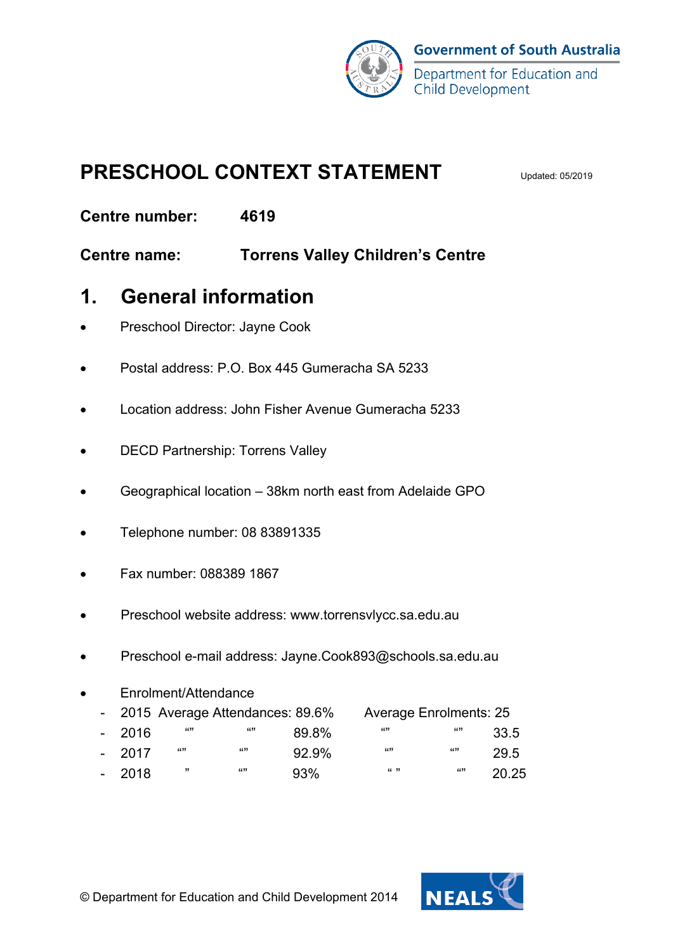

## **PRESCHOOL CONTEXT STATEMENT**

**Centre number: 4619**

**Centre name: Torrens Valley Children's Centre**

#### **1. General information**

- Preschool Director: Jayne Cook
- Postal address: P.O. Box 445 Gumeracha SA 5233
- Location address: John Fisher Avenue Gumeracha 5233
- DECD Partnership: Torrens Valley
- Geographical location 38km north east from Adelaide GPO
- Telephone number: 08 83891335
- Fax number: 088389 1867
- Preschool website address: www.torrensvlycc.sa.edu.au
- Preschool e-mail address: Jayne.Cook893@schools.sa.edu.au
- Enrolment/Attendance - 2015 Average Attendances: 89.6% Average Enrolments: 25 - 2016 "" "" 89.8% "" "" 33.5 - 2017 "" "" 92.9% "" "" 29.5 - 2018 " ""93% " " "" 20.25

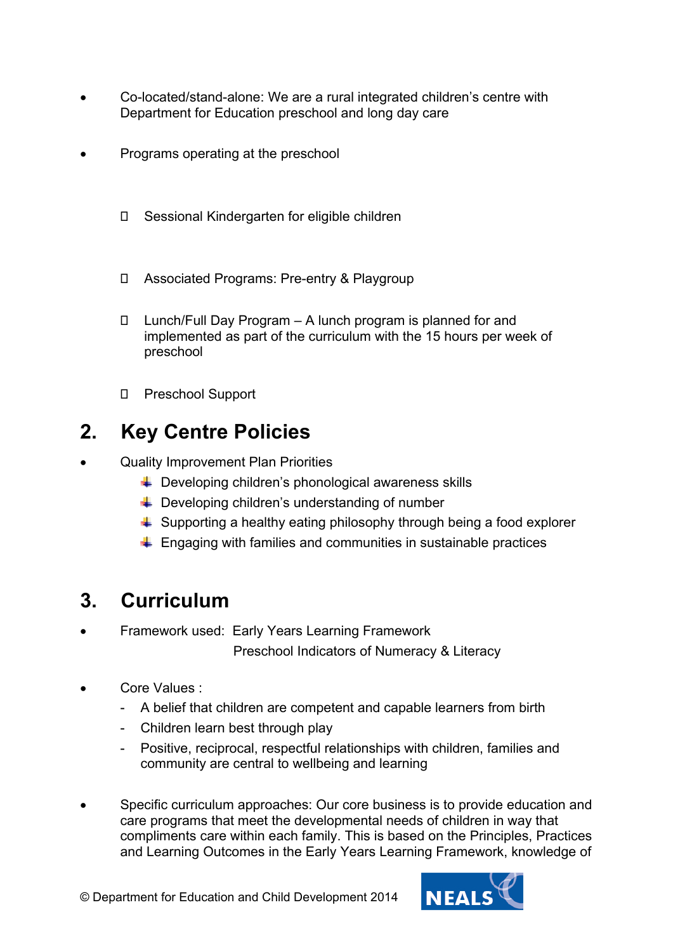- Co-located/stand-alone: We are a rural integrated children's centre with Department for Education preschool and long day care
- Programs operating at the preschool
	- □ Sessional Kindergarten for eligible children
	- Associated Programs: Pre-entry & Playgroup
	- Lunch/Full Day Program A lunch program is planned for and implemented as part of the curriculum with the 15 hours per week of preschool
	- Preschool Support

# **2. Key Centre Policies**

- Quality Improvement Plan Priorities
	- $\leftarrow$  Developing children's phonological awareness skills
	- $\bigstar$  Developing children's understanding of number
	- $\downarrow$  Supporting a healthy eating philosophy through being a food explorer
	- $\ddot{+}$  Engaging with families and communities in sustainable practices

### **3. Curriculum**

- Framework used: Early Years Learning Framework Preschool Indicators of Numeracy & Literacy
- Core Values :
	- A belief that children are competent and capable learners from birth
	- Children learn best through play
	- Positive, reciprocal, respectful relationships with children, families and community are central to wellbeing and learning
- Specific curriculum approaches: Our core business is to provide education and care programs that meet the developmental needs of children in way that compliments care within each family. This is based on the Principles, Practices and Learning Outcomes in the Early Years Learning Framework, knowledge of

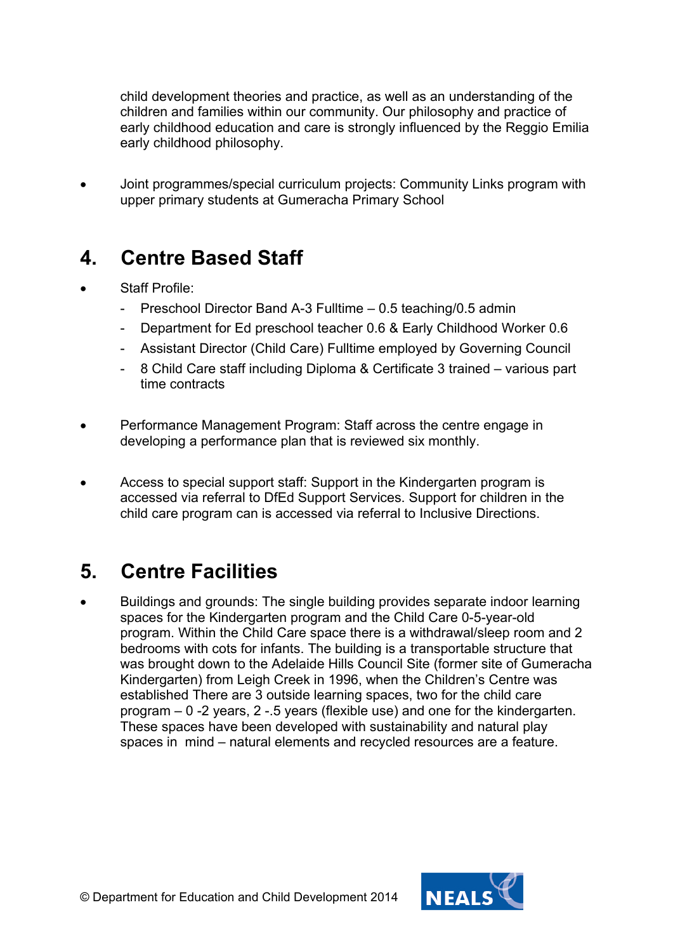child development theories and practice, as well as an understanding of the children and families within our community. Our philosophy and practice of early childhood education and care is strongly influenced by the Reggio Emilia early childhood philosophy.

• Joint programmes/special curriculum projects: Community Links program with upper primary students at Gumeracha Primary School

### **4. Centre Based Staff**

- Staff Profile:
	- Preschool Director Band A-3 Fulltime 0.5 teaching/0.5 admin
	- Department for Ed preschool teacher 0.6 & Early Childhood Worker 0.6
	- Assistant Director (Child Care) Fulltime employed by Governing Council
	- 8 Child Care staff including Diploma & Certificate 3 trained various part time contracts
- Performance Management Program: Staff across the centre engage in developing a performance plan that is reviewed six monthly.
- Access to special support staff: Support in the Kindergarten program is accessed via referral to DfEd Support Services. Support for children in the child care program can is accessed via referral to Inclusive Directions.

### **5. Centre Facilities**

• Buildings and grounds: The single building provides separate indoor learning spaces for the Kindergarten program and the Child Care 0-5-year-old program. Within the Child Care space there is a withdrawal/sleep room and 2 bedrooms with cots for infants. The building is a transportable structure that was brought down to the Adelaide Hills Council Site (former site of Gumeracha Kindergarten) from Leigh Creek in 1996, when the Children's Centre was established There are 3 outside learning spaces, two for the child care program – 0 -2 years, 2 -.5 years (flexible use) and one for the kindergarten. These spaces have been developed with sustainability and natural play spaces in mind – natural elements and recycled resources are a feature.

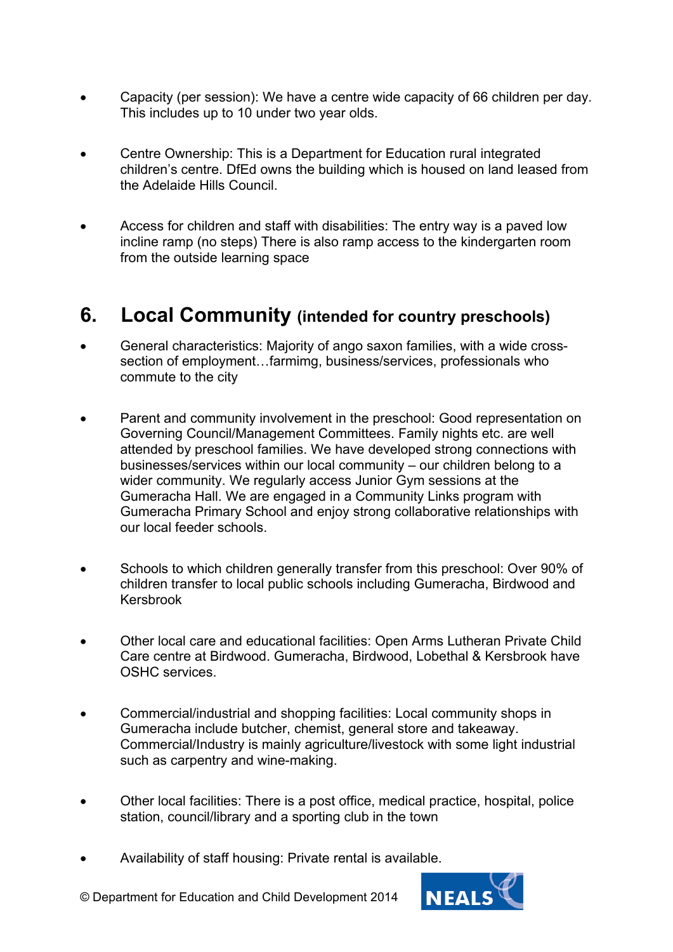- Capacity (per session): We have a centre wide capacity of 66 children per day. This includes up to 10 under two year olds.
- Centre Ownership: This is a Department for Education rural integrated children's centre. DfEd owns the building which is housed on land leased from the Adelaide Hills Council.
- Access for children and staff with disabilities: The entry way is a paved low incline ramp (no steps) There is also ramp access to the kindergarten room from the outside learning space

#### **6. Local Community (intended for country preschools)**

- General characteristics: Majority of ango saxon families, with a wide crosssection of employment…farmimg, business/services, professionals who commute to the city
- Parent and community involvement in the preschool: Good representation on Governing Council/Management Committees. Family nights etc. are well attended by preschool families. We have developed strong connections with businesses/services within our local community – our children belong to a wider community. We regularly access Junior Gym sessions at the Gumeracha Hall. We are engaged in a Community Links program with Gumeracha Primary School and enjoy strong collaborative relationships with our local feeder schools.
- Schools to which children generally transfer from this preschool: Over 90% of children transfer to local public schools including Gumeracha, Birdwood and Kersbrook
- Other local care and educational facilities: Open Arms Lutheran Private Child Care centre at Birdwood. Gumeracha, Birdwood, Lobethal & Kersbrook have OSHC services.
- Commercial/industrial and shopping facilities: Local community shops in Gumeracha include butcher, chemist, general store and takeaway. Commercial/Industry is mainly agriculture/livestock with some light industrial such as carpentry and wine-making.
- Other local facilities: There is a post office, medical practice, hospital, police station, council/library and a sporting club in the town
- Availability of staff housing: Private rental is available.



© Department for Education and Child Development 2014